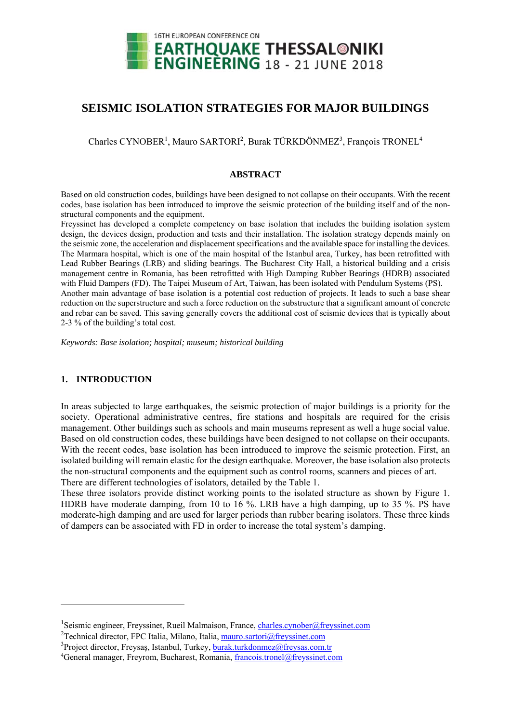

# **SEISMIC ISOLATION STRATEGIES FOR MAJOR BUILDINGS**

Charles CYNOBER<sup>1</sup>, Mauro SARTORI<sup>2</sup>, Burak TÜRKDÖNMEZ<sup>3</sup>, François TRONEL<sup>4</sup>

### **ABSTRACT**

Based on old construction codes, buildings have been designed to not collapse on their occupants. With the recent codes, base isolation has been introduced to improve the seismic protection of the building itself and of the nonstructural components and the equipment.

Freyssinet has developed a complete competency on base isolation that includes the building isolation system design, the devices design, production and tests and their installation. The isolation strategy depends mainly on the seismic zone, the acceleration and displacement specifications and the available space for installing the devices. The Marmara hospital, which is one of the main hospital of the Istanbul area, Turkey, has been retrofitted with Lead Rubber Bearings (LRB) and sliding bearings. The Bucharest City Hall, a historical building and a crisis management centre in Romania, has been retrofitted with High Damping Rubber Bearings (HDRB) associated with Fluid Dampers (FD). The Taipei Museum of Art, Taiwan, has been isolated with Pendulum Systems (PS). Another main advantage of base isolation is a potential cost reduction of projects. It leads to such a base shear reduction on the superstructure and such a force reduction on the substructure that a significant amount of concrete and rebar can be saved. This saving generally covers the additional cost of seismic devices that is typically about 2-3 % of the building's total cost.

*Keywords: Base isolation; hospital; museum; historical building* 

## **1. INTRODUCTION**

-

In areas subjected to large earthquakes, the seismic protection of major buildings is a priority for the society. Operational administrative centres, fire stations and hospitals are required for the crisis management. Other buildings such as schools and main museums represent as well a huge social value. Based on old construction codes, these buildings have been designed to not collapse on their occupants. With the recent codes, base isolation has been introduced to improve the seismic protection. First, an isolated building will remain elastic for the design earthquake. Moreover, the base isolation also protects the non-structural components and the equipment such as control rooms, scanners and pieces of art. There are different technologies of isolators, detailed by the Table 1.

These three isolators provide distinct working points to the isolated structure as shown by Figure 1. HDRB have moderate damping, from 10 to 16 %. LRB have a high damping, up to 35 %. PS have moderate-high damping and are used for larger periods than rubber bearing isolators. These three kinds of dampers can be associated with FD in order to increase the total system's damping.

<sup>&</sup>lt;sup>1</sup>Seismic engineer, Freyssinet, Rueil Malmaison, France, charles.cynober@freyssinet.com<br><sup>2</sup>Technical director, EBC Italia, Milano, Italia, meuro, certari@freyscinet.com

<sup>&</sup>lt;sup>2</sup>Technical director, FPC Italia, Milano, Italia, mauro.sartori@freyssinet.com

 $3$ Project director, Freysaş, Istanbul, Turkey, burak.turkdonmez@freysas.com.tr

<sup>&</sup>lt;sup>4</sup>General manager, Freyrom, Bucharest, Romania, francois.tronel@freyssinet.com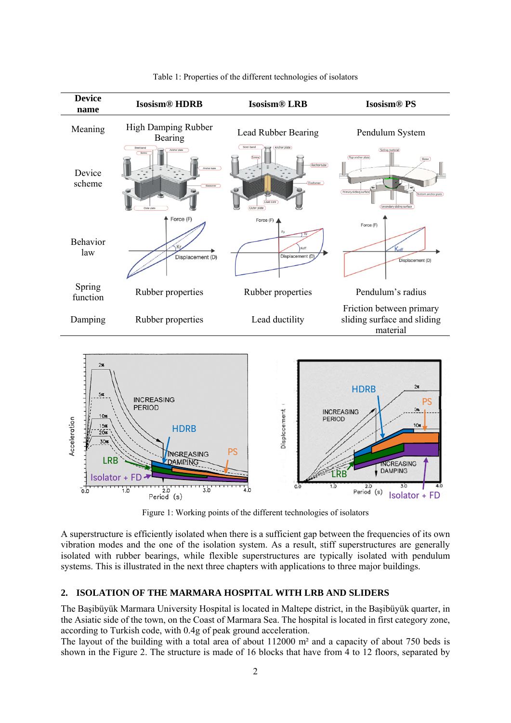

Table 1: Properties of the different technologies of isolators

Figure 1: Working points of the different technologies of isolators

A superstructure is efficiently isolated when there is a sufficient gap between the frequencies of its own vibration modes and the one of the isolation system. As a result, stiff superstructures are generally isolated with rubber bearings, while flexible superstructures are typically isolated with pendulum systems. This is illustrated in the next three chapters with applications to three major buildings.

#### **2. ISOLATION OF THE MARMARA HOSPITAL WITH LRB AND SLIDERS**

The Başibüyük Marmara University Hospital is located in Maltepe district, in the Başibüyük quarter, in the Asiatic side of the town, on the Coast of Marmara Sea. The hospital is located in first category zone, according to Turkish code, with 0.4g of peak ground acceleration.

The layout of the building with a total area of about 112000 m² and a capacity of about 750 beds is shown in the Figure 2. The structure is made of 16 blocks that have from 4 to 12 floors, separated by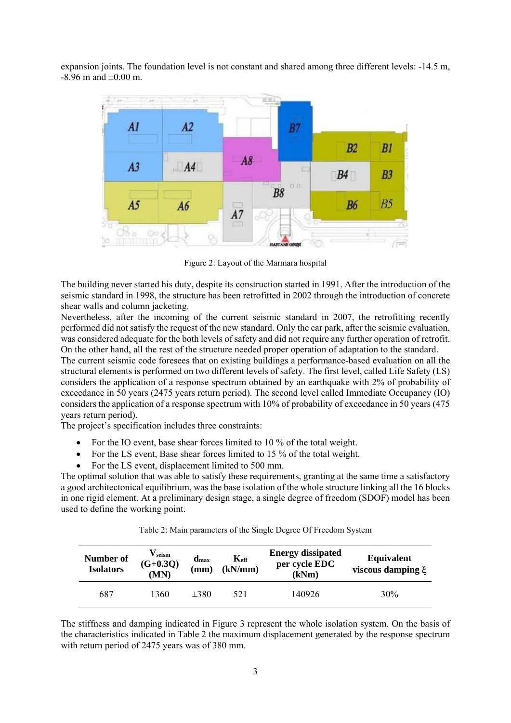expansion joints. The foundation level is not constant and shared among three different levels: -14.5 m,  $-8.96$  m and  $\pm 0.00$  m.



Figure 2: Layout of the Marmara hospital

The building never started his duty, despite its construction started in 1991. After the introduction of the seismic standard in 1998, the structure has been retrofitted in 2002 through the introduction of concrete shear walls and column jacketing.

Nevertheless, after the incoming of the current seismic standard in 2007, the retrofitting recently performed did not satisfy the request of the new standard. Only the car park, after the seismic evaluation, was considered adequate for the both levels of safety and did not require any further operation of retrofit. On the other hand, all the rest of the structure needed proper operation of adaptation to the standard.

The current seismic code foresees that on existing buildings a performance-based evaluation on all the structural elements is performed on two different levels of safety. The first level, called Life Safety (LS) considers the application of a response spectrum obtained by an earthquake with 2% of probability of exceedance in 50 years (2475 years return period). The second level called Immediate Occupancy (IO) considers the application of a response spectrum with 10% of probability of exceedance in 50 years (475 years return period).

The project's specification includes three constraints:

- For the IO event, base shear forces limited to 10 % of the total weight.
- For the LS event, Base shear forces limited to 15 % of the total weight.
- For the LS event, displacement limited to 500 mm.

The optimal solution that was able to satisfy these requirements, granting at the same time a satisfactory a good architectonical equilibrium, was the base isolation of the whole structure linking all the 16 blocks in one rigid element. At a preliminary design stage, a single degree of freedom (SDOF) model has been used to define the working point.

| Number of<br><b>Isolators</b> | $\mathbf{V}_{\rm seism}$<br>$(G+0.3Q)$<br>(MN) | $dmax$<br>(mm) | $K_{\text{eff}}$<br>(kN/mm) | <b>Energy dissipated</b><br>per cycle EDC<br>(kNm) | <b>Equivalent</b><br>viscous damping $\xi$ |
|-------------------------------|------------------------------------------------|----------------|-----------------------------|----------------------------------------------------|--------------------------------------------|
| 687                           | 1360                                           | $\pm 380$      | 521                         | 140926                                             | 30%                                        |

Table 2: Main parameters of the Single Degree Of Freedom System

The stiffness and damping indicated in Figure 3 represent the whole isolation system. On the basis of the characteristics indicated in Table 2 the maximum displacement generated by the response spectrum with return period of 2475 years was of 380 mm.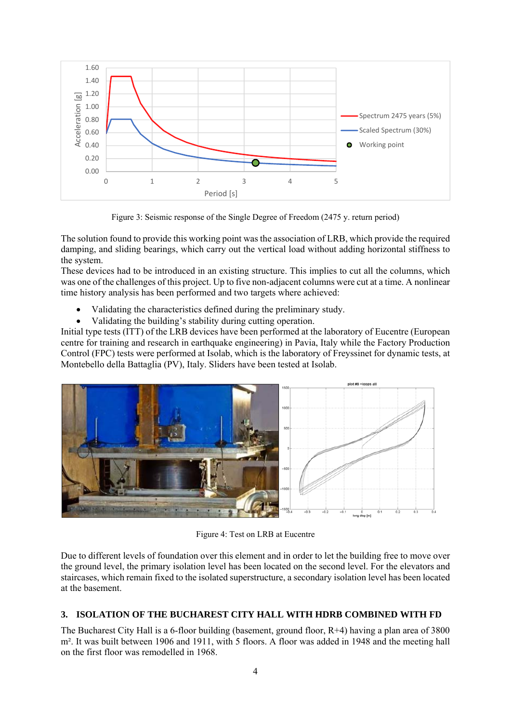

Figure 3: Seismic response of the Single Degree of Freedom (2475 y. return period)

The solution found to provide this working point was the association of LRB, which provide the required damping, and sliding bearings, which carry out the vertical load without adding horizontal stiffness to the system.

These devices had to be introduced in an existing structure. This implies to cut all the columns, which was one of the challenges of this project. Up to five non-adjacent columns were cut at a time. A nonlinear time history analysis has been performed and two targets where achieved:

- Validating the characteristics defined during the preliminary study.
- Validating the building's stability during cutting operation.

Initial type tests (ITT) of the LRB devices have been performed at the laboratory of Eucentre (European centre for training and research in earthquake engineering) in Pavia, Italy while the Factory Production Control (FPC) tests were performed at Isolab, which is the laboratory of Freyssinet for dynamic tests, at Montebello della Battaglia (PV), Italy. Sliders have been tested at Isolab.



Figure 4: Test on LRB at Eucentre

Due to different levels of foundation over this element and in order to let the building free to move over the ground level, the primary isolation level has been located on the second level. For the elevators and staircases, which remain fixed to the isolated superstructure, a secondary isolation level has been located at the basement.

## **3. ISOLATION OF THE BUCHAREST CITY HALL WITH HDRB COMBINED WITH FD**

The Bucharest City Hall is a 6-floor building (basement, ground floor, R+4) having a plan area of 3800 m<sup>2</sup>. It was built between 1906 and 1911, with 5 floors. A floor was added in 1948 and the meeting hall on the first floor was remodelled in 1968.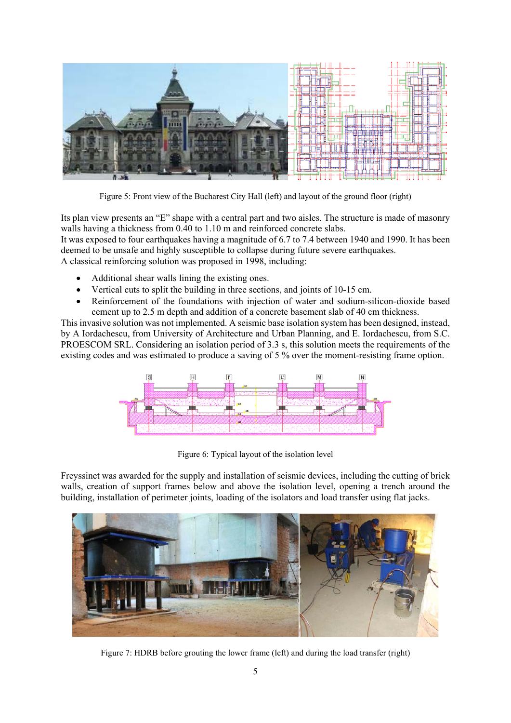

Figure 5: Front view of the Bucharest City Hall (left) and layout of the ground floor (right)

Its plan view presents an "E" shape with a central part and two aisles. The structure is made of masonry walls having a thickness from 0.40 to 1.10 m and reinforced concrete slabs.

It was exposed to four earthquakes having a magnitude of 6.7 to 7.4 between 1940 and 1990. It has been deemed to be unsafe and highly susceptible to collapse during future severe earthquakes.

A classical reinforcing solution was proposed in 1998, including:

- Additional shear walls lining the existing ones.
- Vertical cuts to split the building in three sections, and joints of 10-15 cm.
- Reinforcement of the foundations with injection of water and sodium-silicon-dioxide based cement up to 2.5 m depth and addition of a concrete basement slab of 40 cm thickness.

This invasive solution was not implemented. A seismic base isolation system has been designed, instead, by A Iordachescu, from University of Architecture and Urban Planning, and E. Iordachescu, from S.C. PROESCOM SRL. Considering an isolation period of 3.3 s, this solution meets the requirements of the existing codes and was estimated to produce a saving of 5 % over the moment-resisting frame option.



Figure 6: Typical layout of the isolation level

Freyssinet was awarded for the supply and installation of seismic devices, including the cutting of brick walls, creation of support frames below and above the isolation level, opening a trench around the building, installation of perimeter joints, loading of the isolators and load transfer using flat jacks.



Figure 7: HDRB before grouting the lower frame (left) and during the load transfer (right)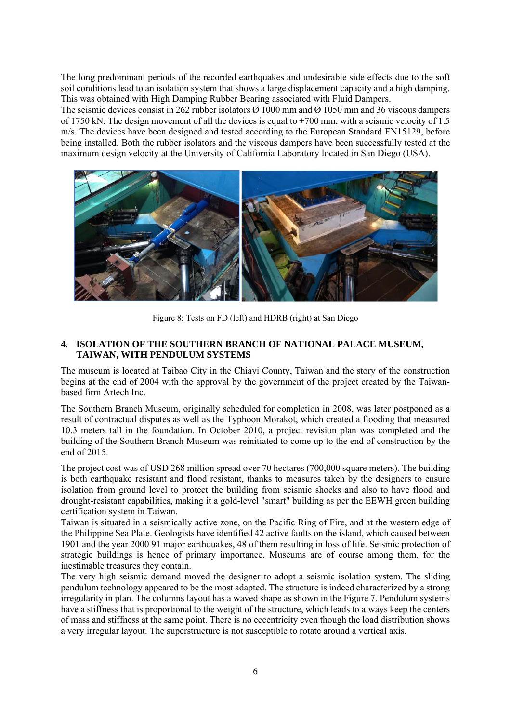The long predominant periods of the recorded earthquakes and undesirable side effects due to the soft soil conditions lead to an isolation system that shows a large displacement capacity and a high damping. This was obtained with High Damping Rubber Bearing associated with Fluid Dampers.

The seismic devices consist in 262 rubber isolators Ø 1000 mm and Ø 1050 mm and 36 viscous dampers of 1750 kN. The design movement of all the devices is equal to  $\pm$ 700 mm, with a seismic velocity of 1.5 m/s. The devices have been designed and tested according to the European Standard EN15129, before being installed. Both the rubber isolators and the viscous dampers have been successfully tested at the maximum design velocity at the University of California Laboratory located in San Diego (USA).



Figure 8: Tests on FD (left) and HDRB (right) at San Diego

### **4. ISOLATION OF THE SOUTHERN BRANCH OF NATIONAL PALACE MUSEUM, TAIWAN, WITH PENDULUM SYSTEMS**

The museum is located at Taibao City in the Chiayi County, Taiwan and the story of the construction begins at the end of 2004 with the approval by the government of the project created by the Taiwanbased firm Artech Inc.

The Southern Branch Museum, originally scheduled for completion in 2008, was later postponed as a result of contractual disputes as well as the Typhoon Morakot, which created a flooding that measured 10.3 meters tall in the foundation. In October 2010, a project revision plan was completed and the building of the Southern Branch Museum was reinitiated to come up to the end of construction by the end of 2015.

The project cost was of USD 268 million spread over 70 hectares (700,000 square meters). The building is both earthquake resistant and flood resistant, thanks to measures taken by the designers to ensure isolation from ground level to protect the building from seismic shocks and also to have flood and drought-resistant capabilities, making it a gold-level "smart" building as per the EEWH green building certification system in Taiwan.

Taiwan is situated in a seismically active zone, on the Pacific Ring of Fire, and at the western edge of the Philippine Sea Plate. Geologists have identified 42 active faults on the island, which caused between 1901 and the year 2000 91 major earthquakes, 48 of them resulting in loss of life. Seismic protection of strategic buildings is hence of primary importance. Museums are of course among them, for the inestimable treasures they contain.

The very high seismic demand moved the designer to adopt a seismic isolation system. The sliding pendulum technology appeared to be the most adapted. The structure is indeed characterized by a strong irregularity in plan. The columns layout has a waved shape as shown in the Figure 7. Pendulum systems have a stiffness that is proportional to the weight of the structure, which leads to always keep the centers of mass and stiffness at the same point. There is no eccentricity even though the load distribution shows a very irregular layout. The superstructure is not susceptible to rotate around a vertical axis.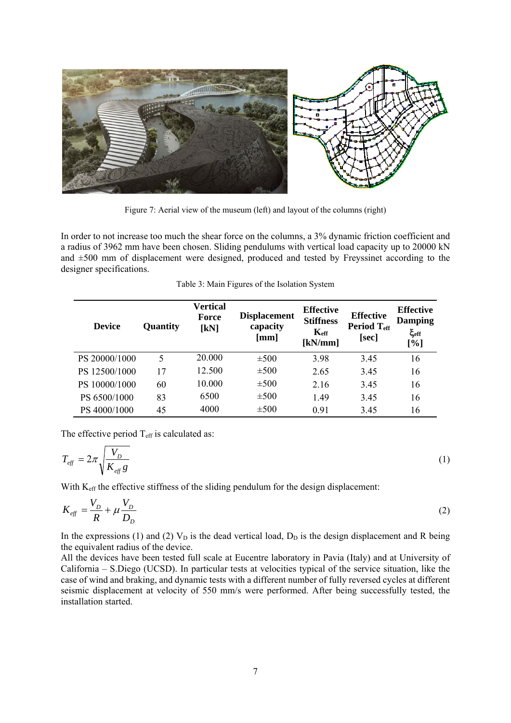

Figure 7: Aerial view of the museum (left) and layout of the columns (right)

In order to not increase too much the shear force on the columns, a 3% dynamic friction coefficient and a radius of 3962 mm have been chosen. Sliding pendulums with vertical load capacity up to 20000 kN and ±500 mm of displacement were designed, produced and tested by Freyssinet according to the designer specifications.

| <b>Device</b> | Quantity | Vertical<br><b>Force</b><br>[kN] | <b>Displacement</b><br>capacity<br>[mm] | <b>Effective</b><br><b>Stiffness</b><br>$K_{\rm eff}$<br>[kN/mm] | <b>Effective</b><br>Period T <sub>eff</sub><br>[sec] | <b>Effective</b><br><b>Damping</b><br>$\xi_{\rm eff}$<br>[%] |
|---------------|----------|----------------------------------|-----------------------------------------|------------------------------------------------------------------|------------------------------------------------------|--------------------------------------------------------------|
| PS 20000/1000 | 5        | 20.000                           | $\pm 500$                               | 3.98                                                             | 3.45                                                 | 16                                                           |
| PS 12500/1000 | 17       | 12.500                           | $\pm 500$                               | 2.65                                                             | 3.45                                                 | 16                                                           |
| PS 10000/1000 | 60       | 10.000                           | $\pm 500$                               | 2.16                                                             | 3.45                                                 | 16                                                           |
| PS 6500/1000  | 83       | 6500                             | $\pm 500$                               | 1.49                                                             | 3.45                                                 | 16                                                           |
| PS 4000/1000  | 45       | 4000                             | $\pm 500$                               | 0.91                                                             | 3.45                                                 | 16                                                           |

The effective period  $T_{\text{eff}}$  is calculated as:

$$
T_{\text{eff}} = 2\pi \sqrt{\frac{V_D}{K_{\text{eff}} g}}
$$
 (1)

With K<sub>eff</sub> the effective stiffness of the sliding pendulum for the design displacement:

$$
K_{\text{eff}} = \frac{V_D}{R} + \mu \frac{V_D}{D_D} \tag{2}
$$

In the expressions (1) and (2)  $V_D$  is the dead vertical load,  $D_D$  is the design displacement and R being the equivalent radius of the device.

All the devices have been tested full scale at Eucentre laboratory in Pavia (Italy) and at University of California – S.Diego (UCSD). In particular tests at velocities typical of the service situation, like the case of wind and braking, and dynamic tests with a different number of fully reversed cycles at different seismic displacement at velocity of 550 mm/s were performed. After being successfully tested, the installation started.